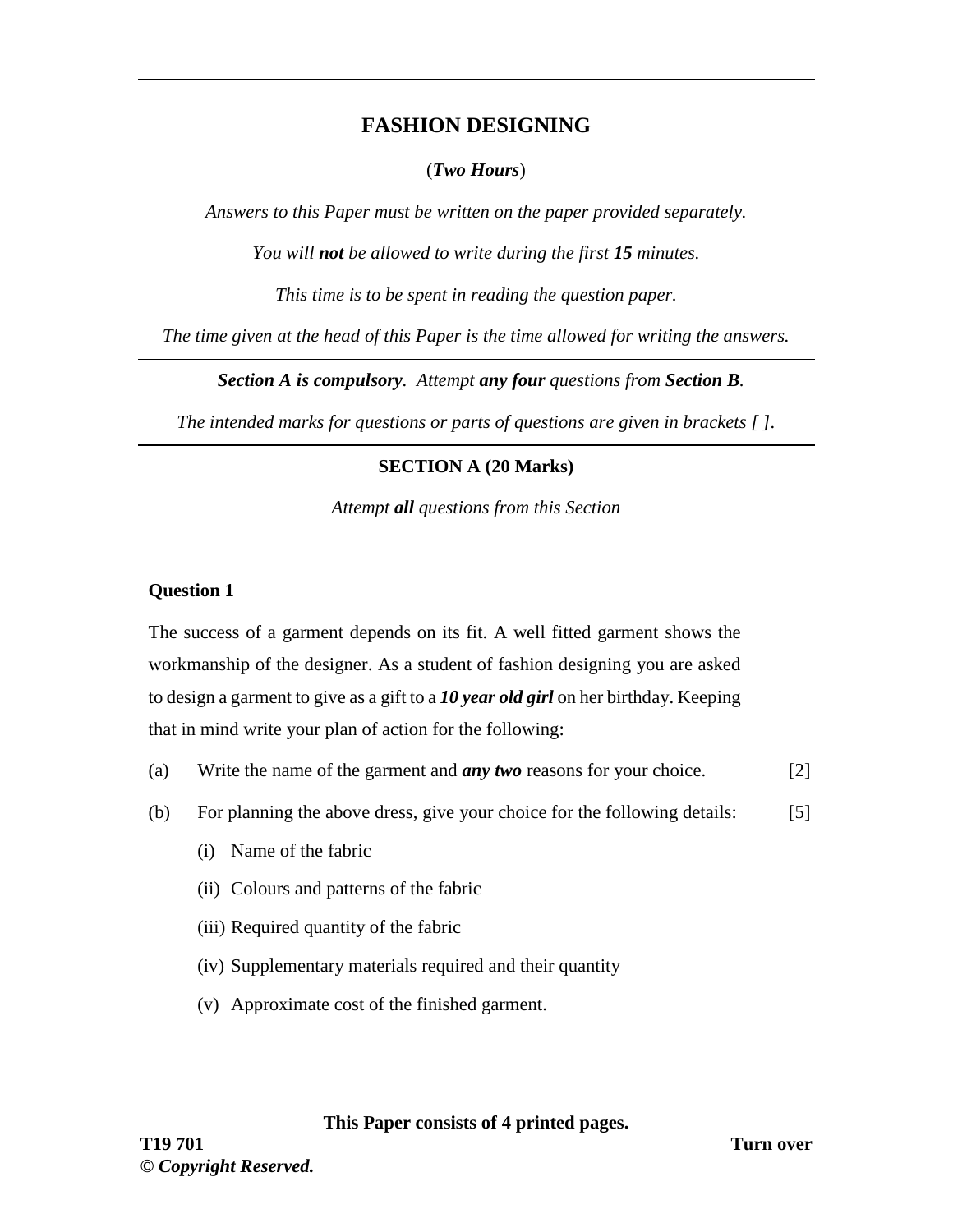# **FASHION DESIGNING**

#### (*Two Hours*)

*Answers to this Paper must be written on the paper provided separately.*

*You will not be allowed to write during the first 15 minutes.*

*This time is to be spent in reading the question paper.*

*The time given at the head of this Paper is the time allowed for writing the answers.*

*Section A is compulsory. Attempt any four questions from Section B.*

*The intended marks for questions or parts of questions are given in brackets [ ].*

# **SECTION A (20 Marks)**

*Attempt all questions from this Section*

## **Question 1**

The success of a garment depends on its fit. A well fitted garment shows the workmanship of the designer. As a student of fashion designing you are asked to design a garment to give as a gift to a *10 year old girl* on her birthday. Keeping that in mind write your plan of action for the following:

- (a) Write the name of the garment and *any two* reasons for your choice. [2]
- (b) For planning the above dress, give your choice for the following details: [5]
	- (i) Name of the fabric
	- (ii) Colours and patterns of the fabric
	- (iii) Required quantity of the fabric
	- (iv) Supplementary materials required and their quantity
	- (v) Approximate cost of the finished garment.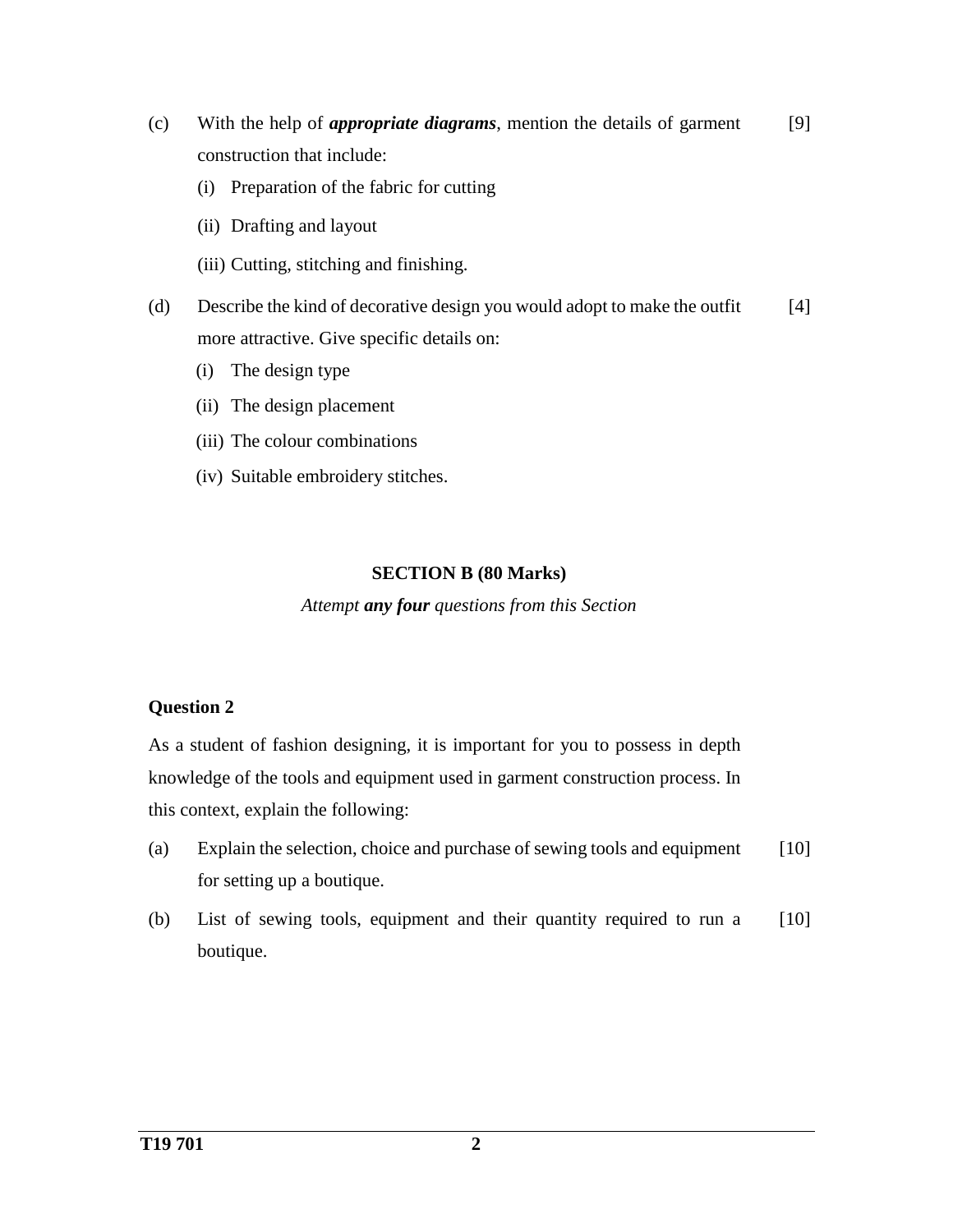- (c) With the help of *appropriate diagrams*, mention the details of garment construction that include: [9]
	- (i) Preparation of the fabric for cutting
	- (ii) Drafting and layout
	- (iii) Cutting, stitching and finishing.
- (d) Describe the kind of decorative design you would adopt to make the outfit more attractive. Give specific details on: [4]
	- (i) The design type
	- (ii) The design placement
	- (iii) The colour combinations
	- (iv) Suitable embroidery stitches.

#### **SECTION B (80 Marks)**

*Attempt any four questions from this Section*

# **Question 2**

As a student of fashion designing, it is important for you to possess in depth knowledge of the tools and equipment used in garment construction process. In this context, explain the following:

- (a) Explain the selection, choice and purchase of sewing tools and equipment for setting up a boutique. [10]
- (b) List of sewing tools, equipment and their quantity required to run a boutique. [10]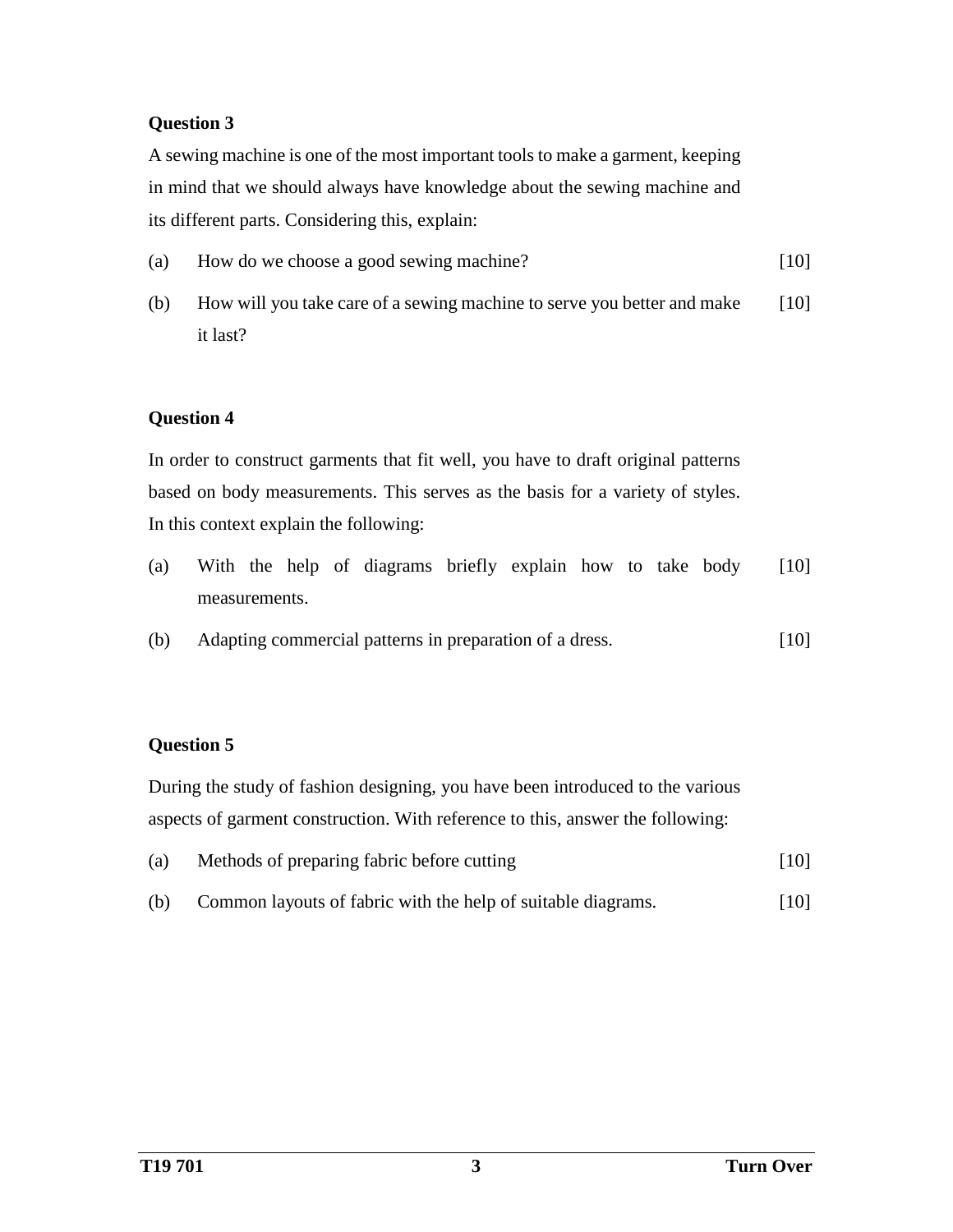#### **Question 3**

A sewing machine is one of the most important tools to make a garment, keeping in mind that we should always have knowledge about the sewing machine and its different parts. Considering this, explain:

- (a) How do we choose a good sewing machine? [10]
- (b) How will you take care of a sewing machine to serve you better and make it last? [10]

## **Question 4**

In order to construct garments that fit well, you have to draft original patterns based on body measurements. This serves as the basis for a variety of styles. In this context explain the following:

- (a) With the help of diagrams briefly explain how to take body measurements. [10]
- (b) Adapting commercial patterns in preparation of a dress. [10]

## **Question 5**

During the study of fashion designing, you have been introduced to the various aspects of garment construction. With reference to this, answer the following:

| (a) | Methods of preparing fabric before cutting | $[10]$ |
|-----|--------------------------------------------|--------|
|-----|--------------------------------------------|--------|

(b) Common layouts of fabric with the help of suitable diagrams. [10]